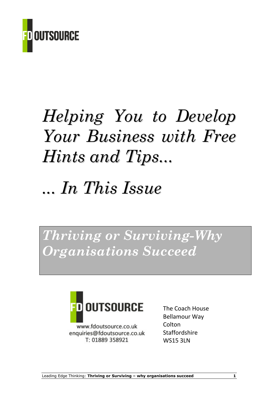

# Helping You to Develop Your Business with Free Hints and Tips...

## ... In This Issue

Thriving or Surviving-Why Organisations Succeed



www.fdoutsource.co.uk enquiries@fdoutsource.co.uk T: 01889 358921

The Coach House Bellamour Way **Colton Staffordshire** WS15 3LN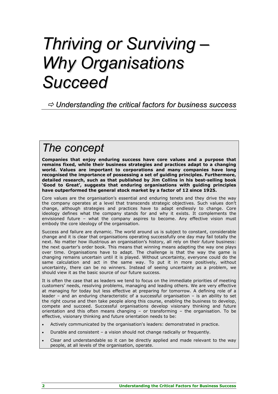## Thriving or Surviving – Why Organisations **Succeed**

#### $\Rightarrow$  Understanding the critical factors for business success

### The concept

Companies that enjoy enduring success have core values and a purpose that remains fixed, while their business strategies and practices adapt to a changing world. Values are important to corporations and many companies have long recognised the importance of possessing a set of guiding principles. Furthermore, detailed research, such as that published by Jim Collins in his best-selling book 'Good to Great', suggests that enduring organisations with guiding principles have outperformed the general stock market by a factor of 12 since 1925.

Core values are the organisation's essential and enduring tenets and they drive the way the company operates at a level that transcends strategic objectives. Such values don't change, although strategies and practices have to adapt endlessly to change. Core ideology defines what the company stands for and why it exists. It complements the envisioned future – what the company aspires to become. Any effective vision must embody the core ideology of the organisation.

Success and failure are dynamic. The world around us is subject to constant, considerable change and it is clear that organisations operating successfully one day may fail totally the next. No matter how illustrious an organisation's history, all rely on their future business: the next quarter's order book. This means that winning means adapting the way one plays over time. Organisations have to adapt. The challenge is that the way the game is changing remains uncertain until it is played. Without uncertainty, everyone could do the same calculation and act in the same way. To put it in more positively, without uncertainty, there can be no winners. Instead of seeing uncertainty as a problem, we should view it as the basic source of our future success.

It is often the case that as leaders we tend to focus on the immediate priorities of meeting customers' needs, resolving problems, managing and leading others. We are very effective at managing for today but less effective at preparing for tomorrow. A defining role of a leader – and an enduring characteristic of a successful organisation – is an ability to set the right course and then take people along this course, enabling the business to develop, compete and succeed. Successful organisations develop visionary thinking and future orientation and this often means changing – or transforming – the organisation. To be effective, visionary thinking and future orientation needs to be:

- Actively communicated by the organisation's leaders: demonstrated in practice.
- Durable and consistent a vision should not change radically or frequently.
- Clear and understandable so it can be directly applied and made relevant to the way people, at all levels of the organisation, operate.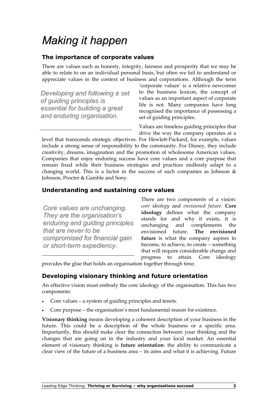### Making it happen

#### The importance of corporate values

There are values such as honesty, integrity, fairness and prosperity that we may be able to relate to on an individual personal basis, but often we fail to understand or appreciate values in the context of business and corporations. Although the term

Developing and following a set of guiding principles is essential for building a great and enduring organisation.

'corporate values' is a relative newcomer to the business lexicon, the concept of values as an important aspect of corporate life is not. Many companies have long recognised the importance of possessing a set of guiding principles.

Values are timeless guiding principles that drive the way the company operates at a

level that transcends strategic objectives. For Hewlett-Packard, for example, values include a strong sense of responsibility to the community. For Disney, they include creativity, dreams, imagination and the promotion of wholesome American values. Companies that enjoy enduring success have core values and a core purpose that remain fixed while their business strategies and practices endlessly adapt to a changing world. This is a factor in the success of such companies as Johnson & Johnson, Procter & Gamble and Sony.

#### Understanding and sustaining core values

Core values are unchanging. They are the organisation's enduring and guiding principles that are never to be compromised for financial gain or short-term expediency.

There are two components of a vision: core ideology and envisioned future. Core ideology defines what the company stands for and why it exists, it is unchanging and complements the envisioned future. The envisioned future is what the company aspires to become, to achieve, to create – something that will require considerable change and progress to attain. Core ideology

provides the glue that holds an organisation together through time.

#### Developing visionary thinking and future orientation

An effective vision must embody the core ideology of the organisation. This has two components:

- Core values a system of guiding principles and tenets.
- Core purpose the organisation's most fundamental reason for existence.

Visionary thinking means developing a coherent description of your business in the future. This could be a description of the whole business or a specific area. Importantly, this should make clear the connection between your thinking and the changes that are going on in the industry and your local market. An essential element of visionary thinking is future orientation: the ability to communicate a clear view of the future of a business area – its aims and what it is achieving. Future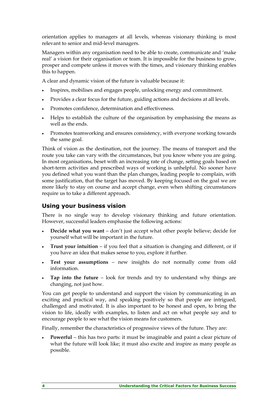orientation applies to managers at all levels, whereas visionary thinking is most relevant to senior and mid-level managers.

Managers within any organisation need to be able to create, communicate and 'make real' a vision for their organisation or team. It is impossible for the business to grow, prosper and compete unless it moves with the times, and visionary thinking enables this to happen.

A clear and dynamic vision of the future is valuable because it:

- Inspires, mobilises and engages people, unlocking energy and commitment.
- Provides a clear focus for the future, guiding actions and decisions at all levels.
- Promotes confidence, determination and effectiveness.
- Helps to establish the culture of the organisation by emphasising the means as well as the ends.
- Promotes teamworking and ensures consistency, with everyone working towards the same goal.

Think of vision as the destination, not the journey. The means of transport and the route you take can vary with the circumstances, but you know where you are going. In most organisations, beset with an increasing rate of change, setting goals based on short-term activities and prescribed ways of working is unhelpful. No sooner have you defined what you want than the plan changes, leading people to complain, with some justification, that the target has moved. By keeping focused on the goal we are more likely to stay on course and accept change, even when shifting circumstances require us to take a different approach.

#### Using your business vision

There is no single way to develop visionary thinking and future orientation. However, successful leaders emphasise the following actions:

- **Decide what you want –** don't just accept what other people believe; decide for yourself what will be important in the future.
- **Trust your intuition –** if you feel that a situation is changing and different, or if you have an idea that makes sense to you, explore it further.
- Test your assumptions new insights do not normally come from old information.
- Tap into the future look for trends and try to understand why things are changing, not just how.

You can get people to understand and support the vision by communicating in an exciting and practical way, and speaking positively so that people are intrigued, challenged and motivated. It is also important to be honest and open, to bring the vision to life, ideally with examples, to listen and act on what people say and to encourage people to see what the vision means for customers.

Finally, remember the characteristics of progressive views of the future. They are:

Powerful – this has two parts: it must be imaginable and paint a clear picture of what the future will look like; it must also excite and inspire as many people as possible.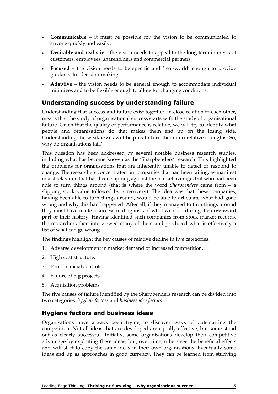- Communicable it must be possible for the vision to be communicated to anyone quickly and easily.
- Desirable and realistic the vision needs to appeal to the long-term interests of customers, employees, shareholders and commercial partners.
- Focused the vision needs to be specific and 'real-world' enough to provide guidance for decision-making.
- Adaptive the vision needs to be general enough to accommodate individual initiatives and to be flexible enough to allow for changing conditions.

#### Understanding success by understanding failure

Understanding that success and failure exist together, in close relation to each other, means that the study of organisational success starts with the study of organisational failure. Given that the quality of performance is relative, we will try to identify what people and organisations do that makes them end up on the losing side. Understanding the weaknesses will help us to turn them into relative strengths. So, why do organisations fail?

This question has been addressed by several notable business research studies, including what has become known as the 'Sharpbenders' research. This highlighted the problems for organisations that are inherently unable to detect or respond to change. The researchers concentrated on companies that had been failing, as manifest in a stock value that had been slipping against the market average, but who had been able to turn things around (that is where the word Sharpbenders came from  $-$  a slipping stock value followed by a recovery). The idea was that these companies, having been able to turn things around, would be able to articulate what had gone wrong and why this had happened. After all, if they managed to turn things around they must have made a successful diagnosis of what went on during the downward part of their history. Having identified such companies from stock market records, the researchers then interviewed many of them and produced what is effectively a list of what can go wrong.

The findings highlight the key causes of relative decline in five categories:

- 1. Adverse development in market demand or increased competition.
- 2. High cost structure.
- 3. Poor financial controls.
- 4. Failure of big projects.
- 5. Acquisition problems.

The five causes of failure identified by the Sharpbenders research can be divided into two categories: hygiene factors and business idea factors.

#### Hygiene factors and business ideas

Organisations have always been trying to discover ways of outsmarting the competition. Not all ideas that are developed are equally effective, but some stand out as clearly successful. Initially, some organisations develop their competitive advantage by exploiting these ideas, but, over time, others see the beneficial effects and will start to copy the same ideas in their own organisations. Eventually some ideas end up as approaches in good currency. They can be learned from studying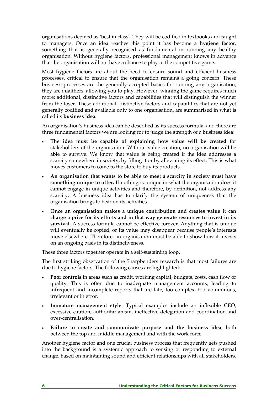organisations deemed as 'best in class'. They will be codified in textbooks and taught to managers. Once an idea reaches this point it has become a hygiene factor, something that is generally recognised as fundamental in running any healthy organisation. Without hygiene factors, professional management knows in advance that the organisation will not have a chance to play in the competitive game.

Most hygiene factors are about the need to ensure sound and efficient business processes, critical to ensure that the organisation remains a going concern. These business processes are the generally accepted basics for running any organisation; they are qualifiers, allowing you to play. However, winning the game requires much more: additional, distinctive factors and capabilities that will distinguish the winner from the loser. These additional, distinctive factors and capabilities that are not yet generally codified and available only to one organisation, are summarised in what is called its business idea.

An organisation's business idea can be described as its success formula, and there are three fundamental factors we are looking for to judge the strength of a business idea:

- The idea must be capable of explaining how value will be created for stakeholders of the organisation. Without value creation, no organisation will be able to survive. We know that value is being created if the idea addresses a scarcity somewhere in society, by filling it or by alleviating its effect. This is what moves customers to come to the store to buy its products.
- An organisation that wants to be able to meet a scarcity in society must have something unique to offer. If nothing is unique in what the organisation does it cannot engage in unique activities and therefore, by definition, not address any scarcity. A business idea has to clarify the system of uniqueness that the organisation brings to bear on its activities.
- Once an organisation makes a unique contribution and creates value it can charge a price for its efforts and in that way generate resources to invest in its survival. A success formula cannot be effective forever. Anything that is unique will eventually be copied, or its value may disappear because people's interests move elsewhere. Therefore, an organisation must be able to show how it invests on an ongoing basis in its distinctiveness.

These three factors together operate in a self-sustaining loop.

The first striking observation of the Sharpbenders research is that most failures are due to hygiene factors. The following causes are highlighted:

- Poor controls in areas such as credit, working capital, budgets, costs, cash flow or quality. This is often due to inadequate management accounts, leading to infrequent and incomplete reports that are late, too complex, too voluminous, irrelevant or in error.
- Immature management style. Typical examples include an inflexible CEO, excessive caution, authoritarianism, ineffective delegation and coordination and over-centralisation.
- Failure to create and communicate purpose and the business idea, both between the top and middle management and with the work force

Another hygiene factor and one crucial business process that frequently gets pushed into the background is a systemic approach to sensing or responding to external change, based on maintaining sound and efficient relationships with all stakeholders.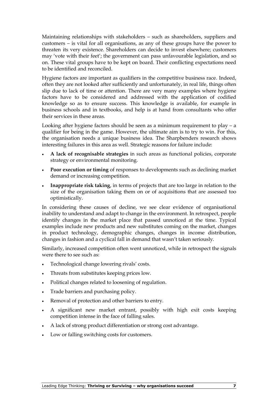Maintaining relationships with stakeholders – such as shareholders, suppliers and customers – is vital for all organisations, as any of these groups have the power to threaten its very existence. Shareholders can decide to invest elsewhere; customers may 'vote with their feet'; the government can pass unfavourable legislation, and so on. These vital groups have to be kept on board. Their conflicting expectations need to be identified and reconciled.

Hygiene factors are important as qualifiers in the competitive business race. Indeed, often they are not looked after sufficiently and unfortunately, in real life, things often slip due to lack of time or attention. There are very many examples where hygiene factors have to be considered and addressed with the application of codified knowledge so as to ensure success. This knowledge is available, for example in business schools and in textbooks, and help is at hand from consultants who offer their services in these areas.

Looking after hygiene factors should be seen as a minimum requirement to play  $-$  a qualifier for being in the game. However, the ultimate aim is to try to win. For this, the organisation needs a unique business idea. The Sharpbenders research shows interesting failures in this area as well. Strategic reasons for failure include:

- A lack of recognisable strategies in such areas as functional policies, corporate strategy or environmental monitoring.
- Poor execution or timing of responses to developments such as declining market demand or increasing competition.
- Inappropriate risk taking, in terms of projects that are too large in relation to the size of the organisation taking them on or of acquisitions that are assessed too optimistically.

In considering these causes of decline, we see clear evidence of organisational inability to understand and adapt to change in the environment. In retrospect, people identify changes in the market place that passed unnoticed at the time. Typical examples include new products and new substitutes coming on the market, changes in product technology, demographic changes, changes in income distribution, changes in fashion and a cyclical fall in demand that wasn't taken seriously.

Similarly, increased competition often went unnoticed, while in retrospect the signals were there to see such as:

- Technological change lowering rivals' costs.
- Threats from substitutes keeping prices low.
- Political changes related to loosening of regulation.
- Trade barriers and purchasing policy.
- Removal of protection and other barriers to entry.
- A significant new market entrant, possibly with high exit costs keeping competition intense in the face of falling sales.
- A lack of strong product differentiation or strong cost advantage.
- Low or falling switching costs for customers.